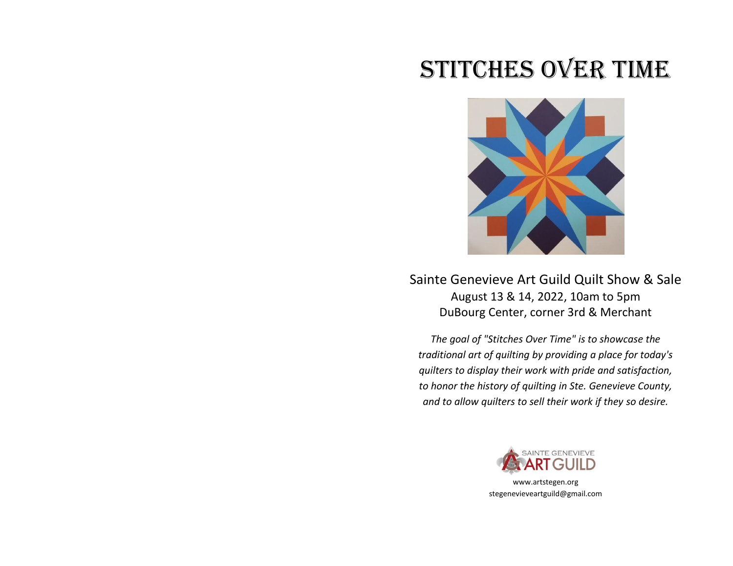## STITCHES OVER TIME



Sainte Genevieve Art Guild Quilt Show & Sale August 13 & 14, 2022, 10am to 5pm DuBourg Center, corner 3rd & Merchant

*The goal of "Stitches Over Time" is to showcase the traditional art of quilting by providing a place for today's quilters to display their work with pride and satisfaction, to honor the history of quilting in Ste. Genevieve County, and to allow quilters to sell their work if they so desire.*



www.artstegen.org stegenevieveartguild@gmail.com